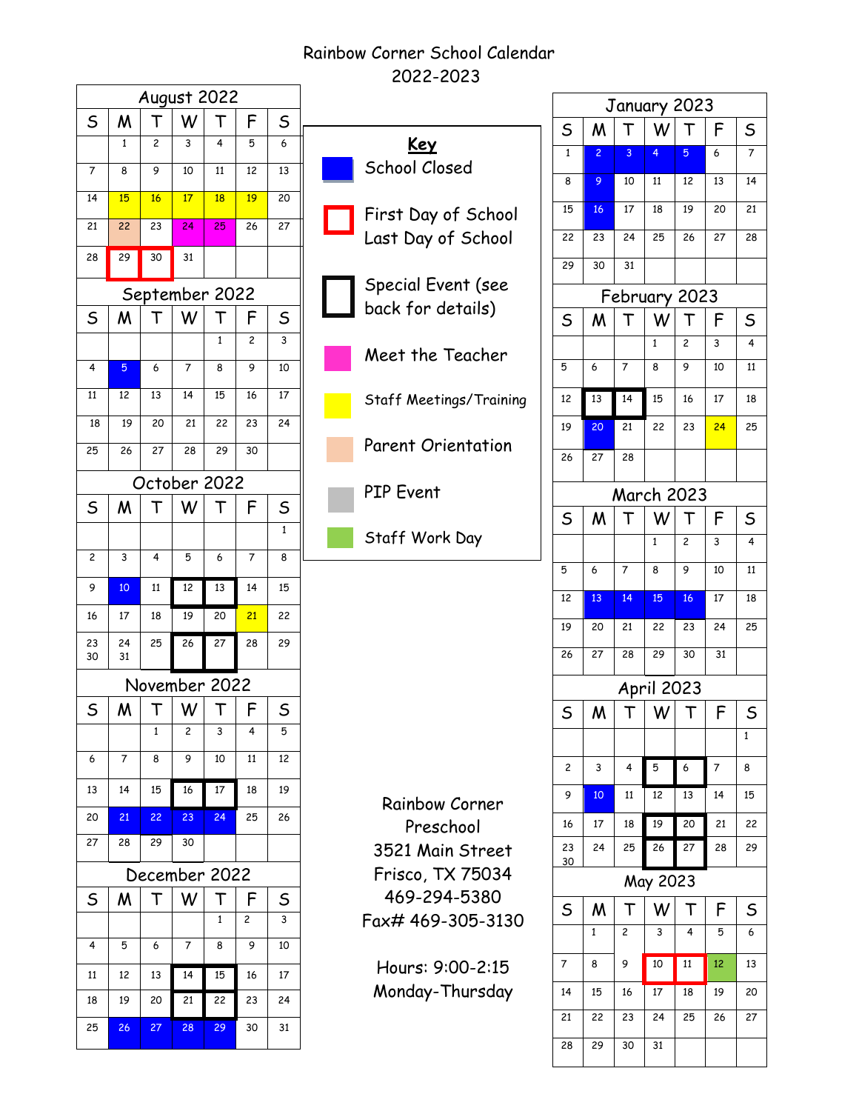# Rainbow Corner School Calendar 2022-2023

| August 2022    |          |    |               |    |    |                         |  |  |  |
|----------------|----------|----|---------------|----|----|-------------------------|--|--|--|
| $\sf S$        | M        |    | W             |    | F  | $\sf S$                 |  |  |  |
|                | 1        | 2  | 3             | 4  | 5  | 6                       |  |  |  |
| 7              | 8        | 9  | 10            | 11 | 12 | 13                      |  |  |  |
| 14             | 15       | 16 | 17            | 18 | 19 | 20                      |  |  |  |
| 21             | 22       | 23 | 24            | 25 | 26 | 27                      |  |  |  |
| 28             | 29       | 30 | 31            |    |    |                         |  |  |  |
| September 2022 |          |    |               |    |    |                         |  |  |  |
| S              | M        |    | W             |    | F  | S                       |  |  |  |
|                |          |    |               | 1  | 2  | $\overline{\mathbf{3}}$ |  |  |  |
| 4              | 5        | 6  | 7             | 8  | 9  | 10                      |  |  |  |
| 11             | 12       | 13 | 14            | 15 | 16 | 17                      |  |  |  |
| 18             | 19       | 20 | 21            | 22 | 23 | 24                      |  |  |  |
| 25             | 26       | 27 | 28            | 29 | 30 |                         |  |  |  |
|                |          |    | October 2022  |    |    |                         |  |  |  |
| S              | M        |    | W             |    | F  | S                       |  |  |  |
|                |          |    |               |    |    | $\mathbf{1}$            |  |  |  |
| 2              | 3        | 4  | 5             | 6  | 7  | 8                       |  |  |  |
| 9              | 10       | 11 | 12            | 13 | 14 | 15                      |  |  |  |
| 16             | 17       | 18 | 19            | 20 | 21 | 22                      |  |  |  |
| 23<br>30       | 24<br>31 | 25 | 26            | 27 | 28 | 29                      |  |  |  |
|                |          |    | November 2022 |    |    |                         |  |  |  |
| S              | M        | Т  | W             | T  | F  | S                       |  |  |  |
|                |          | 1  | 2             | з  | 4  | 5                       |  |  |  |
| 6              | 7        | 8  | 9             | 10 | 11 | 12                      |  |  |  |
| 13             | 14       | 15 | 16            | 17 | 18 | 19                      |  |  |  |
| 20             | 21       | 22 | 23            | 24 | 25 | 26                      |  |  |  |
| 27             | 28       | 29 | 30            |    |    |                         |  |  |  |
| December 2022  |          |    |               |    |    |                         |  |  |  |
| S              | W        | Г  | W             | Г  | F  | S                       |  |  |  |
|                |          |    |               | 1  | 2  | 3                       |  |  |  |
| 4              | 5        | 6  | 7             | 8  | 9  | 10                      |  |  |  |
| 11             | 12       | 13 | 14            | 15 | 16 | 17                      |  |  |  |
| 18             | 19       | 20 | 21            | 22 | 23 | 24                      |  |  |  |
| 25             | 26       | 27 | 28            | 29 | 30 | 31                      |  |  |  |



Hours: 9:00-2:15 Monday-Thursday

| January 2023      |                |                         |                   |                 |    |                 |  |  |
|-------------------|----------------|-------------------------|-------------------|-----------------|----|-----------------|--|--|
| S                 | M              | Т                       | W                 |                 | F  | S               |  |  |
| $\mathbf 1$       | $\overline{c}$ | 3                       | 4                 | 5               | 6  | $\overline{7}$  |  |  |
| 8                 | 9              | 10                      | 11                | $\overline{12}$ | 13 | $\overline{14}$ |  |  |
| 15                | 16             | 17                      | 18                | 19              | 20 | 21              |  |  |
| 22                | 23             | 24                      | 25                | 26              | 27 | 28              |  |  |
| 29                | 30             | 31                      |                   |                 |    |                 |  |  |
| February 2023     |                |                         |                   |                 |    |                 |  |  |
| $\mathsf S$       | M              | Г                       | W                 |                 | F  | $\mathsf S$     |  |  |
|                   |                |                         | 1                 | 2               | 3  | $\overline{4}$  |  |  |
| 5                 | 6              | 7                       | 8                 | 9               | 10 | 11              |  |  |
| 12                | 13             | 14                      | 15                | 16              | 17 | 18              |  |  |
| 19                | 20             | 21                      | 22                | 23              | 24 | 25              |  |  |
| 26                | 27             | 28                      |                   |                 |    |                 |  |  |
| <b>March 2023</b> |                |                         |                   |                 |    |                 |  |  |
| $\mathsf S$       | M              | Г                       | W                 | т               | F  | $\mathsf S$     |  |  |
|                   |                |                         | 1                 | $\overline{c}$  | 3  | 4               |  |  |
| 5                 | 6              | 7                       | 8                 | 9               | 10 | $\overline{11}$ |  |  |
|                   |                |                         |                   |                 |    |                 |  |  |
| 12                | 13             | 14                      | 15                | 16              | 17 | 18              |  |  |
| 19                | 20             | 21                      | 22                | 23              | 24 | 25              |  |  |
| 26                | 27             | 28                      | 29                | 30              | 31 |                 |  |  |
|                   |                |                         | <b>April 2023</b> |                 |    |                 |  |  |
| S                 | M              |                         | W                 | Т               | F  | S               |  |  |
|                   |                |                         |                   |                 |    | 1               |  |  |
| 2                 | 3              | 4                       | 5                 | 6               | 7  | 8               |  |  |
| 9                 | 10             | 11                      | 12                | 13              | 14 | 15              |  |  |
| 16                | 17             | 18                      | 19                | $\overline{2}0$ | 21 | 22              |  |  |
| 23<br>30          | 24             | 25                      | 26                | 27              | 28 | 29              |  |  |
|                   |                |                         | May 2023          |                 |    |                 |  |  |
| S                 | M              | T                       | W                 | ١               | F  | S               |  |  |
|                   | 1              | $\overline{\mathbf{c}}$ | 3                 | 4               | 5  | 6               |  |  |
| 7                 | 8              | 9                       | 10                | 11              | 12 | 13              |  |  |
| 14                | 15             | 16                      | 17                | 18              | 19 | 20              |  |  |
| 21                | 22             | 23                      | 24                | 25              | 26 | 27              |  |  |
| 28                | 29             | 30                      | 31                |                 |    |                 |  |  |